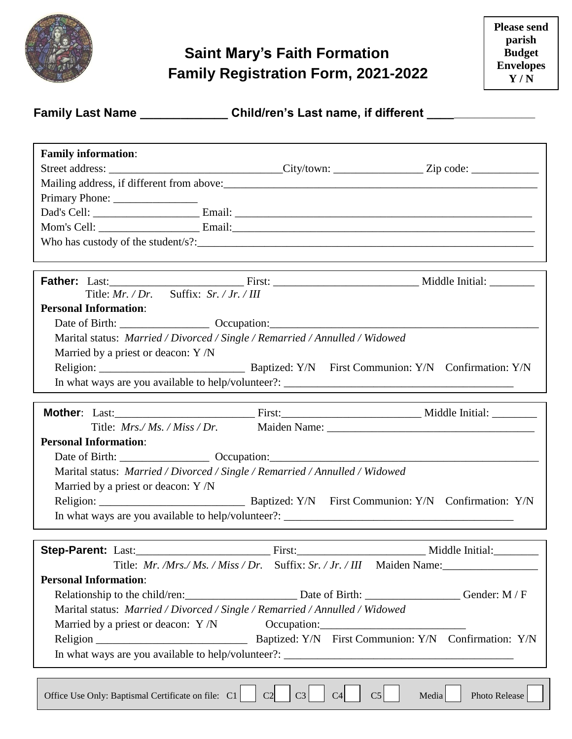

## **Saint Mary's Faith Formation Family Registration Form, 2021-2022**

| <b>Family Last Name</b> | Child/ren's Last name, if different |
|-------------------------|-------------------------------------|
|-------------------------|-------------------------------------|

| <b>Family information:</b>                                                                                     |                                  |                                           |               |  |  |
|----------------------------------------------------------------------------------------------------------------|----------------------------------|-------------------------------------------|---------------|--|--|
| Street address: _________________________________City/town: ___________________Zip code: _____________________ |                                  |                                           |               |  |  |
|                                                                                                                |                                  |                                           |               |  |  |
|                                                                                                                |                                  |                                           |               |  |  |
|                                                                                                                |                                  |                                           |               |  |  |
|                                                                                                                |                                  |                                           |               |  |  |
| Who has custody of the student/s?: $\frac{1}{2}$ measurements are not all the students of the students?:       |                                  |                                           |               |  |  |
|                                                                                                                |                                  |                                           |               |  |  |
| <b>Father:</b> Last: Last: First: First: Niddle Initial:                                                       |                                  |                                           |               |  |  |
| Title: $Mr. /Dr.$ Suffix: $Sr. / Jr. / III$                                                                    |                                  |                                           |               |  |  |
| <b>Personal Information:</b>                                                                                   |                                  |                                           |               |  |  |
|                                                                                                                |                                  |                                           |               |  |  |
| Marital status: Married / Divorced / Single / Remarried / Annulled / Widowed                                   |                                  |                                           |               |  |  |
| Married by a priest or deacon: $Y/N$                                                                           |                                  |                                           |               |  |  |
|                                                                                                                |                                  |                                           |               |  |  |
|                                                                                                                |                                  |                                           |               |  |  |
|                                                                                                                |                                  |                                           |               |  |  |
|                                                                                                                |                                  |                                           |               |  |  |
|                                                                                                                |                                  |                                           |               |  |  |
| <b>Personal Information:</b>                                                                                   |                                  |                                           |               |  |  |
|                                                                                                                |                                  |                                           |               |  |  |
| Marital status: Married / Divorced / Single / Remarried / Annulled / Widowed                                   |                                  |                                           |               |  |  |
| Married by a priest or deacon: Y /N                                                                            |                                  |                                           |               |  |  |
|                                                                                                                |                                  |                                           |               |  |  |
|                                                                                                                |                                  |                                           |               |  |  |
|                                                                                                                |                                  |                                           |               |  |  |
| Step-Parent: Last: Last: First: First: Middle Initial:                                                         |                                  |                                           |               |  |  |
| Title: Mr. /Mrs./ Ms. / Miss / Dr. Suffix: Sr. / Jr. / III Maiden Name:                                        |                                  |                                           |               |  |  |
| <b>Personal Information:</b>                                                                                   |                                  |                                           |               |  |  |
| Relationship to the child/ren: Date of Birth: Cambridge Center: M/F                                            |                                  |                                           |               |  |  |
| Marital status: Married / Divorced / Single / Remarried / Annulled / Widowed                                   |                                  |                                           |               |  |  |
|                                                                                                                |                                  |                                           |               |  |  |
|                                                                                                                |                                  |                                           |               |  |  |
|                                                                                                                |                                  |                                           |               |  |  |
|                                                                                                                |                                  |                                           |               |  |  |
|                                                                                                                |                                  |                                           |               |  |  |
| Office Use Only: Baptismal Certificate on file: C1                                                             | C <sub>2</sub><br>C <sub>3</sub> | C <sub>5</sub><br>C <sub>4</sub><br>Media | Photo Release |  |  |